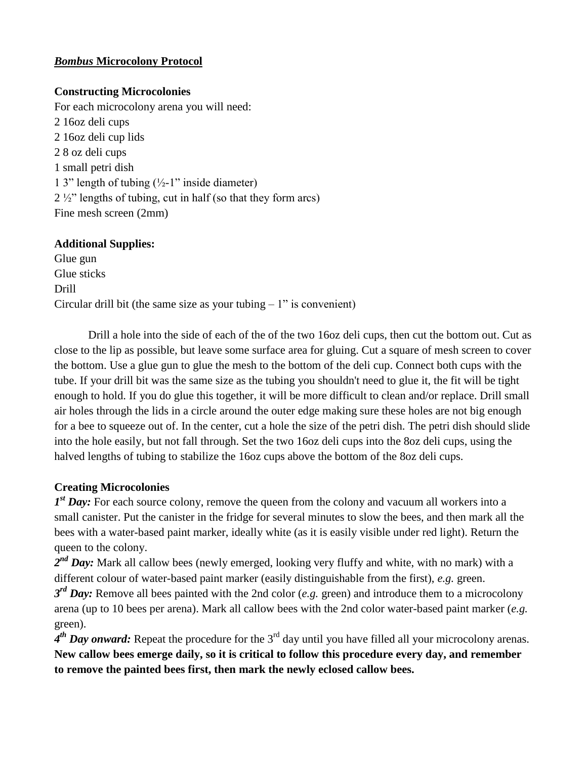# *Bombus* **Microcolony Protocol**

# **Constructing Microcolonies**

For each microcolony arena you will need: 2 16oz deli cups 2 16oz deli cup lids 2 8 oz deli cups 1 small petri dish 1 3" length of tubing  $(\frac{1}{2} - 1)$ " inside diameter) 2 ½" lengths of tubing, cut in half (so that they form arcs) Fine mesh screen (2mm)

# **Additional Supplies:**

Glue gun Glue sticks Drill Circular drill bit (the same size as your tubing  $-1$ " is convenient)

Drill a hole into the side of each of the of the two 16oz deli cups, then cut the bottom out. Cut as close to the lip as possible, but leave some surface area for gluing. Cut a square of mesh screen to cover the bottom. Use a glue gun to glue the mesh to the bottom of the deli cup. Connect both cups with the tube. If your drill bit was the same size as the tubing you shouldn't need to glue it, the fit will be tight enough to hold. If you do glue this together, it will be more difficult to clean and/or replace. Drill small air holes through the lids in a circle around the outer edge making sure these holes are not big enough for a bee to squeeze out of. In the center, cut a hole the size of the petri dish. The petri dish should slide into the hole easily, but not fall through. Set the two 16oz deli cups into the 8oz deli cups, using the halved lengths of tubing to stabilize the 16oz cups above the bottom of the 8oz deli cups.

### **Creating Microcolonies**

*1<sup>st</sup> Day*: For each source colony, remove the queen from the colony and vacuum all workers into a small canister. Put the canister in the fridge for several minutes to slow the bees, and then mark all the bees with a water-based paint marker, ideally white (as it is easily visible under red light). Return the queen to the colony.

2<sup>nd</sup> Day: Mark all callow bees (newly emerged, looking very fluffy and white, with no mark) with a different colour of water-based paint marker (easily distinguishable from the first), *e.g.* green.

*3 rd Day:* Remove all bees painted with the 2nd color (*e.g.* green) and introduce them to a microcolony arena (up to 10 bees per arena). Mark all callow bees with the 2nd color water-based paint marker (*e.g.* green).

*4 th Day onward:* Repeat the procedure for the 3rd day until you have filled all your microcolony arenas. **New callow bees emerge daily, so it is critical to follow this procedure every day, and remember to remove the painted bees first, then mark the newly eclosed callow bees.**